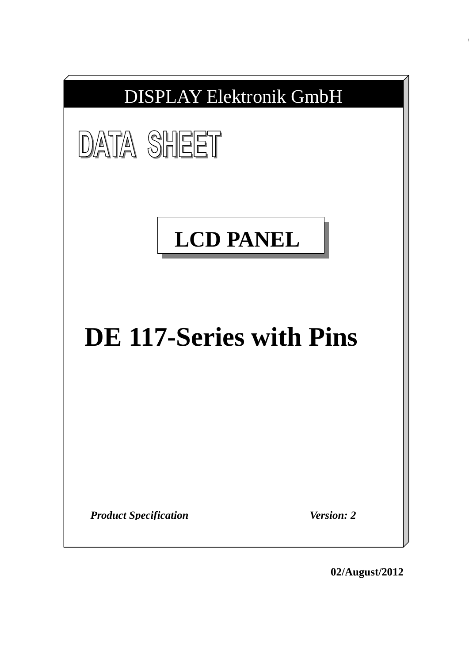

**02/August/2012**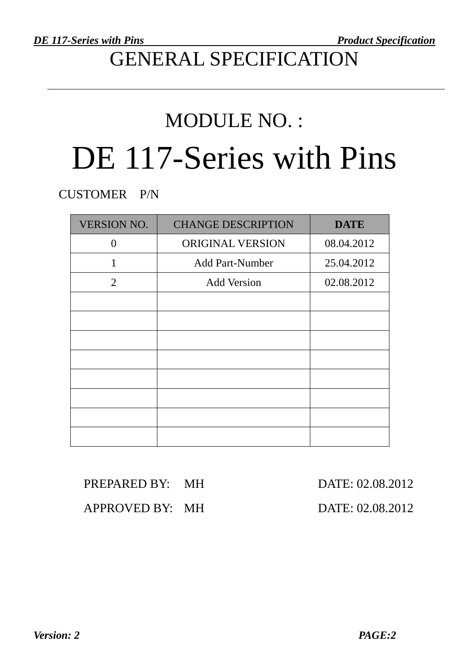## GENERAL SPECIFICATION

# MODULE NO. : DE 117-Series with Pins

CUSTOMER P/N

| <b>VERSION NO.</b> | <b>CHANGE DESCRIPTION</b> | <b>DATE</b> |
|--------------------|---------------------------|-------------|
| 0                  | ORIGINAL VERSION          | 08.04.2012  |
| 1                  | <b>Add Part-Number</b>    | 25.04.2012  |
| 2                  | <b>Add Version</b>        | 02.08.2012  |
|                    |                           |             |
|                    |                           |             |
|                    |                           |             |
|                    |                           |             |
|                    |                           |             |
|                    |                           |             |
|                    |                           |             |
|                    |                           |             |

| PREPARED BY: MH | DATE: 02.08.2012 |
|-----------------|------------------|
| APPROVED BY: MH | DATE: 02.08.2012 |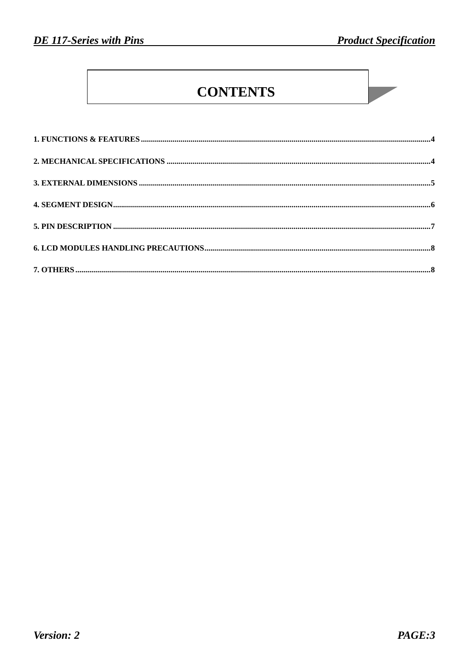### **CONTENTS**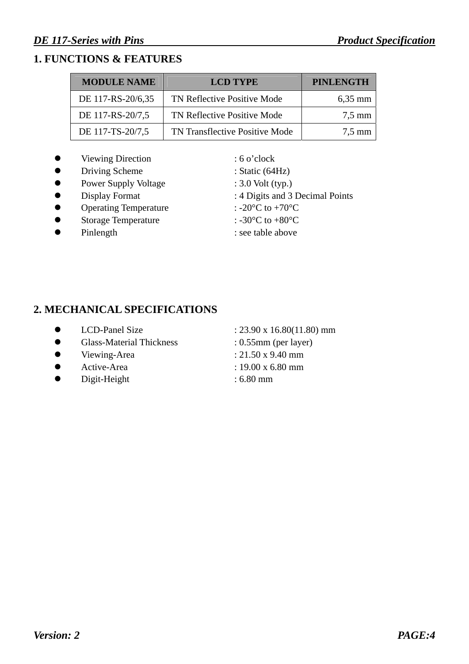#### **1. FUNCTIONS & FEATURES**

| <b>MODULE NAME</b> | <b>LCD TYPE</b>                | <b>PINLENGTH</b> |
|--------------------|--------------------------------|------------------|
| DE 117-RS-20/6,35  | TN Reflective Positive Mode    | $6,35$ mm        |
| DE 117-RS-20/7,5   | TN Reflective Positive Mode    | $7.5 \text{ mm}$ |
| DE 117-TS-20/7,5   | TN Transflective Positive Mode | $7.5 \text{ mm}$ |

- Viewing Direction : 6 o'clock
- Driving Scheme : Static (64Hz)
- Power Supply Voltage : 3.0 Volt (typ.)
- 
- Operating Temperature :  $-20^{\circ}$ C to  $+70^{\circ}$ C
- Storage Temperature  $: -30^{\circ}C$  to  $+80^{\circ}C$
- 

• Display Format : 4 Digits and 3 Decimal Points

- 
- 
- Pinlength : see table above

#### **2. MECHANICAL SPECIFICATIONS**

- 
- Glass-Material Thickness : 0.55mm (per layer)
- $\bullet$  Viewing-Area : 21.50 x 9.40 mm
- $\bullet$  Active-Area : 19.00 x 6.80 mm
- Digit-Height : 6.80 mm
- $\bullet$  LCD-Panel Size : 23.90 x 16.80(11.80) mm
	-
	-
	-
	-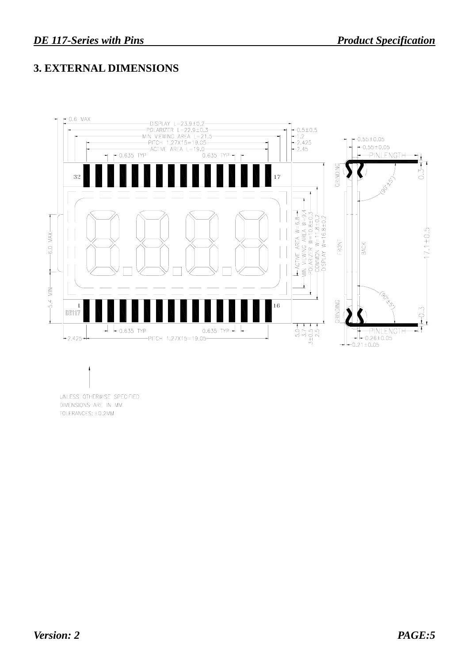#### **3. EXTERNAL DIMENSIONS**



UNLESS OTHERWISE SPECIFIED DIMENSIONS ARE IN MM TOLERANCES: ±0.2MM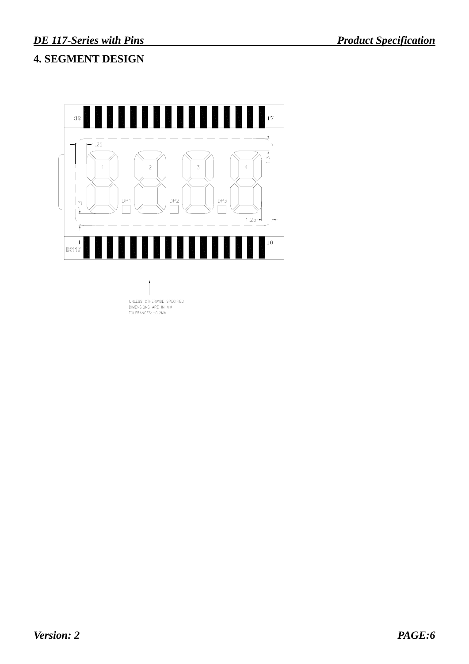#### **4. SEGMENT DESIGN**

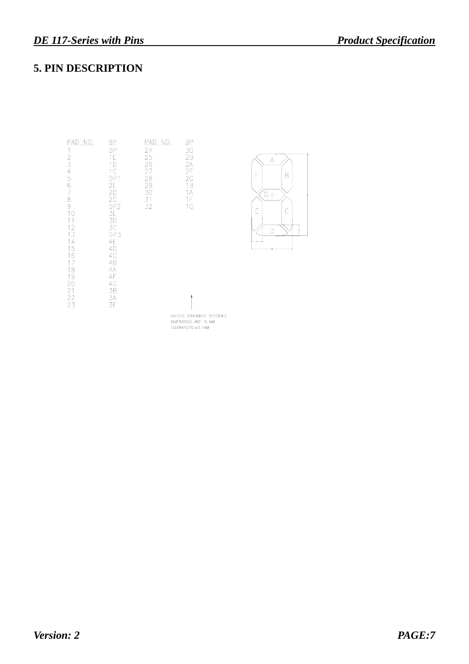#### **5. PIN DESCRIPTION**